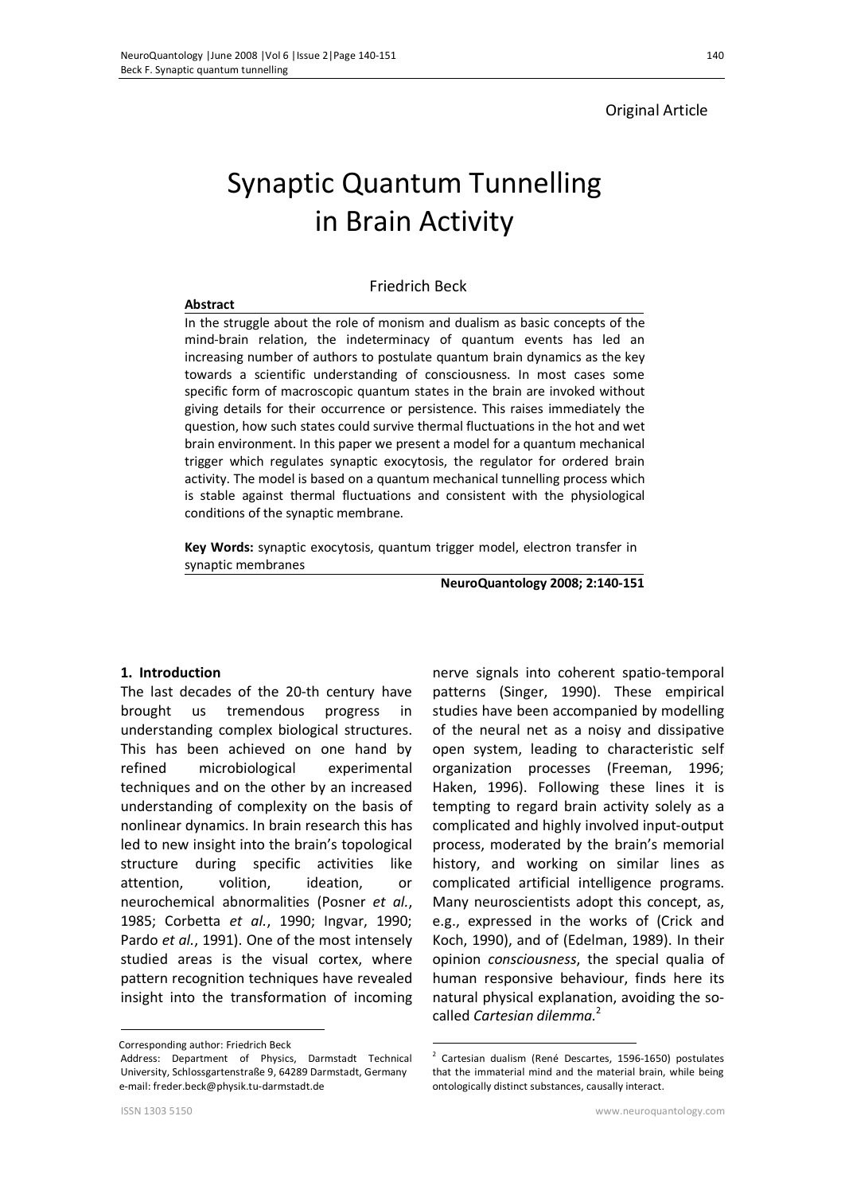# Original Article

# Synaptic Quantum Tunnelling in Brain Activity

## Friedrich Beck

#### **Abstract**

In the struggle about the role of monism and dualism as basic concepts of the mind-brain relation, the indeterminacy of quantum events has led an increasing number of authors to postulate quantum brain dynamics as the key towards a scientific understanding of consciousness. In most cases some specific form of macroscopic quantum states in the brain are invoked without giving details for their occurrence or persistence. This raises immediately the question, how such states could survive thermal fluctuations in the hot and wet brain environment. In this paper we present a model for a quantum mechanical trigger which regulates synaptic exocytosis, the regulator for ordered brain activity. The model is based on a quantum mechanical tunnelling process which is stable against thermal fluctuations and consistent with the physiological conditions of the synaptic membrane.

**Key Words:** synaptic exocytosis, quantum trigger model, electron transfer in synaptic membranes

<u>.</u>

**NeuroQuantology 2008; 2:140-151**

## **1. Introduction**

The last decades of the 20-th century have brought us tremendous progress in understanding complex biological structures. This has been achieved on one hand by refined microbiological experimental techniques and on the other by an increased understanding of complexity on the basis of nonlinear dynamics. In brain research this has led to new insight into the brain's topological structure during specific activities like attention, volition, ideation, or neurochemical abnormalities (Posner *et al.*, 1985; Corbetta *et al.*, 1990; Ingvar, 1990; Pardo *et al.*, 1991). One of the most intensely studied areas is the visual cortex, where pattern recognition techniques have revealed insight into the transformation of incoming

Corresponding author: Friedrich Beck

 $\overline{a}$ 

nerve signals into coherent spatio-temporal patterns (Singer, 1990). These empirical studies have been accompanied by modelling of the neural net as a noisy and dissipative open system, leading to characteristic self organization processes (Freeman, 1996; Haken, 1996). Following these lines it is tempting to regard brain activity solely as a complicated and highly involved input-output process, moderated by the brain's memorial history, and working on similar lines as complicated artificial intelligence programs. Many neuroscientists adopt this concept, as, e.g., expressed in the works of (Crick and Koch, 1990), and of (Edelman, 1989). In their opinion *consciousness*, the special qualia of human responsive behaviour, finds here its natural physical explanation, avoiding the socalled *Cartesian dilemma.*<sup>2</sup>

Address: Department of Physics, Darmstadt Technical University, Schlossgartenstraße 9, 64289 Darmstadt, Germany e-mail: freder.beck@physik.tu-darmstadt.de

 $2$  Cartesian dualism (René Descartes, 1596-1650) postulates that the immaterial mind and the material brain, while being ontologically distinct substances, causally interact.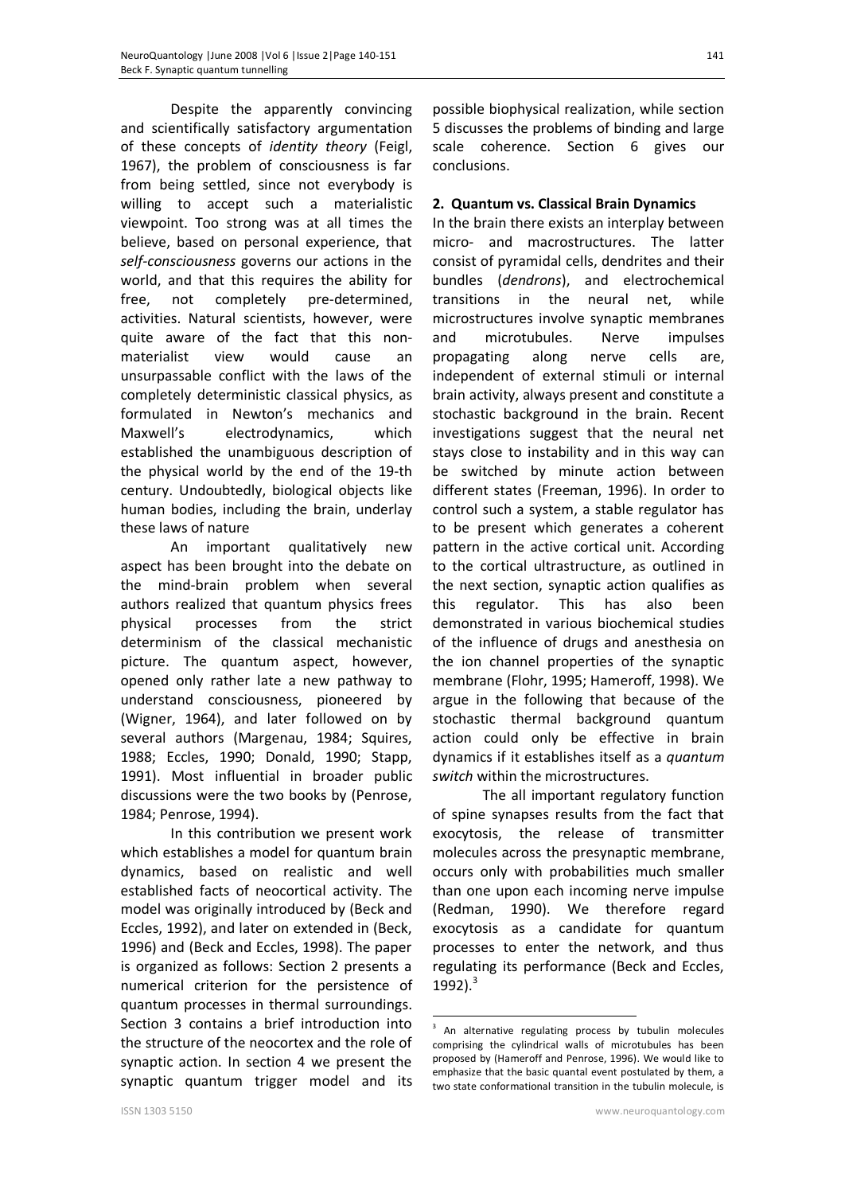Despite the apparently convincing and scientifically satisfactory argumentation of these concepts of *identity theory* (Feigl, 1967), the problem of consciousness is far from being settled, since not everybody is willing to accept such a materialistic viewpoint. Too strong was at all times the believe, based on personal experience, that *self-consciousness* governs our actions in the world, and that this requires the ability for free, not completely pre-determined, activities. Natural scientists, however, were quite aware of the fact that this nonmaterialist view would cause an unsurpassable conflict with the laws of the completely deterministic classical physics, as formulated in Newton's mechanics and Maxwell's electrodynamics, which established the unambiguous description of the physical world by the end of the 19-th century. Undoubtedly, biological objects like human bodies, including the brain, underlay these laws of nature

An important qualitatively new aspect has been brought into the debate on the mind-brain problem when several authors realized that quantum physics frees physical processes from the strict determinism of the classical mechanistic picture. The quantum aspect, however, opened only rather late a new pathway to understand consciousness, pioneered by (Wigner, 1964), and later followed on by several authors (Margenau, 1984; Squires, 1988; Eccles, 1990; Donald, 1990; Stapp, 1991). Most influential in broader public discussions were the two books by (Penrose, 1984; Penrose, 1994).

In this contribution we present work which establishes a model for quantum brain dynamics, based on realistic and well established facts of neocortical activity. The model was originally introduced by (Beck and Eccles, 1992), and later on extended in (Beck, 1996) and (Beck and Eccles, 1998). The paper is organized as follows: Section 2 presents a numerical criterion for the persistence of quantum processes in thermal surroundings. Section 3 contains a brief introduction into the structure of the neocortex and the role of synaptic action. In section 4 we present the synaptic quantum trigger model and its

possible biophysical realization, while section 5 discusses the problems of binding and large scale coherence. Section 6 gives our conclusions.

# **2. Quantum vs. Classical Brain Dynamics**

In the brain there exists an interplay between micro- and macrostructures. The latter consist of pyramidal cells, dendrites and their bundles (*dendrons*), and electrochemical transitions in the neural net, while microstructures involve synaptic membranes and microtubules. Nerve impulses propagating along nerve cells are, independent of external stimuli or internal brain activity, always present and constitute a stochastic background in the brain. Recent investigations suggest that the neural net stays close to instability and in this way can be switched by minute action between different states (Freeman, 1996). In order to control such a system, a stable regulator has to be present which generates a coherent pattern in the active cortical unit. According to the cortical ultrastructure, as outlined in the next section, synaptic action qualifies as this regulator. This has also been demonstrated in various biochemical studies of the influence of drugs and anesthesia on the ion channel properties of the synaptic membrane (Flohr, 1995; Hameroff, 1998). We argue in the following that because of the stochastic thermal background quantum action could only be effective in brain dynamics if it establishes itself as a *quantum switch* within the microstructures.

The all important regulatory function of spine synapses results from the fact that exocytosis, the release of transmitter molecules across the presynaptic membrane, occurs only with probabilities much smaller than one upon each incoming nerve impulse (Redman, 1990). We therefore regard exocytosis as a candidate for quantum processes to enter the network, and thus regulating its performance (Beck and Eccles, 1992). $3$ 

<sup>&</sup>lt;u>.</u> <sup>3</sup> An alternative regulating process by tubulin molecules comprising the cylindrical walls of microtubules has been proposed by (Hameroff and Penrose, 1996). We would like to emphasize that the basic quantal event postulated by them, a two state conformational transition in the tubulin molecule, is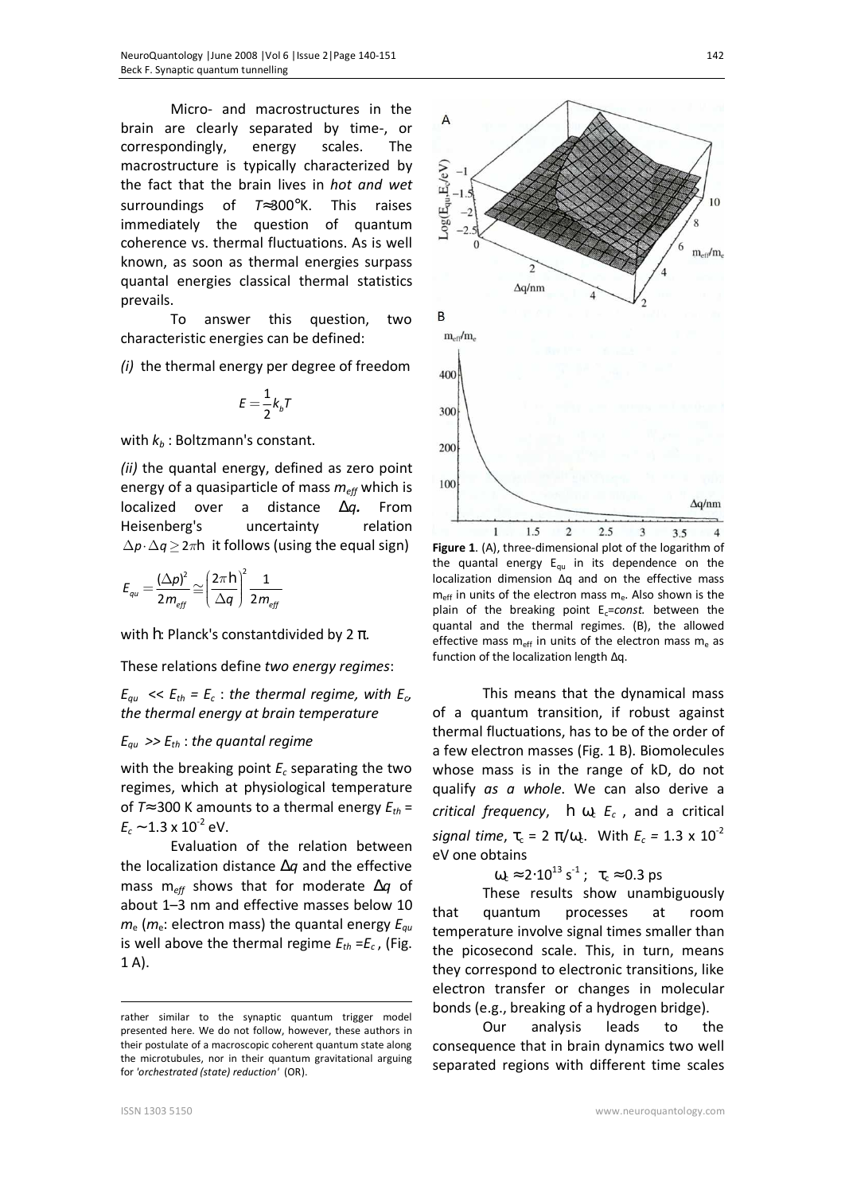Micro- and macrostructures in the brain are clearly separated by time-, or correspondingly, energy scales. The macrostructure is typically characterized by the fact that the brain lives in *hot and wet* surroundings of *T*≈300°K. This raises immediately the question of quantum coherence vs. thermal fluctuations. As is well known, as soon as thermal energies surpass quantal energies classical thermal statistics prevails.

To answer this question, two characteristic energies can be defined:

*(i)* the thermal energy per degree of freedom

$$
E=\frac{1}{2}k_bT
$$

with *k<sup>b</sup>* : Boltzmann's constant.

*(ii)* the quantal energy, defined as zero point energy of a quasiparticle of mass *meff* which is localized over a distance *Dq.* From Heisenberg's uncertainty relation  $\Delta p \cdot \Delta q \geq 2\pi h$  it follows (using the equal sign)

$$
E_{qu} = \frac{\left(\Delta p\right)^2}{2m_{\text{eff}}} \cong \left(\frac{2\pi \mathbf{h}}{\Delta q}\right)^2 \frac{1}{2m_{\text{eff}}}
$$

with **h**: Planck's constantdivided by 2  $\pi$ .

These relations define *two energy regimes*:

 $E_{qu} \ll E_{th} = E_c$ : *the thermal regime, with*  $E_c$ *the thermal energy at brain temperature* 

## *Equ >> Eth* : *the quantal regime*

with the breaking point  $E_c$  separating the two regimes, which at physiological temperature of *T»* 300 K amounts to a thermal energy *Eth* =  $E_c \sim 1.3 \times 10^{-2}$  eV.

Evaluation of the relation between the localization distance Δ*q* and the effective mass m*eff* shows that for moderate Δ*q* of about 1–3 nm and effective masses below 10 *m*e (*m*e: electron mass) the quantal energy *Equ* is well above the thermal regime  $E_{th} = E_c$ , (Fig. 1 A).



 $\mathbf{1}$  $1.5$  $\overline{c}$  $2.5$ 3 3.5  $\overline{4}$ **Figure 1**. (A), three-dimensional plot of the logarithm of the quantal energy  $E_{qu}$  in its dependence on the localization dimension Δq and on the effective mass  $m_{\text{eff}}$  in units of the electron mass  $m_{\text{e}}$ . Also shown is the plain of the breaking point E<sub>c</sub>=const. between the quantal and the thermal regimes. (B), the allowed effective mass  $m_{eff}$  in units of the electron mass  $m_e$  as function of the localization length Δq.

This means that the dynamical mass of a quantum transition, if robust against thermal fluctuations, has to be of the order of a few electron masses (Fig. 1 B). Biomolecules whose mass is in the range of kD, do not qualify *as a whole*. We can also derive a *critical frequency*,  $h \omega_c$   $E_c$ , and a critical *signal time,*  $\tau_c = 2 \pi / \omega_c$ . With  $E_c = 1.3 \times 10^{-2}$ eV one obtains

$$
\omega_c \approx 2.10^{13} s^{-1}; \ \tau_c \approx 0.3 \text{ ps}
$$

These results show unambiguously that quantum processes at room temperature involve signal times smaller than the picosecond scale. This, in turn, means they correspond to electronic transitions, like electron transfer or changes in molecular bonds (e.g., breaking of a hydrogen bridge).

Our analysis leads to the consequence that in brain dynamics two well separated regions with different time scales

1

rather similar to the synaptic quantum trigger model presented here. We do not follow, however, these authors in their postulate of a macroscopic coherent quantum state along the microtubules, nor in their quantum gravitational arguing for *'orchestrated (state) reduction'* (OR).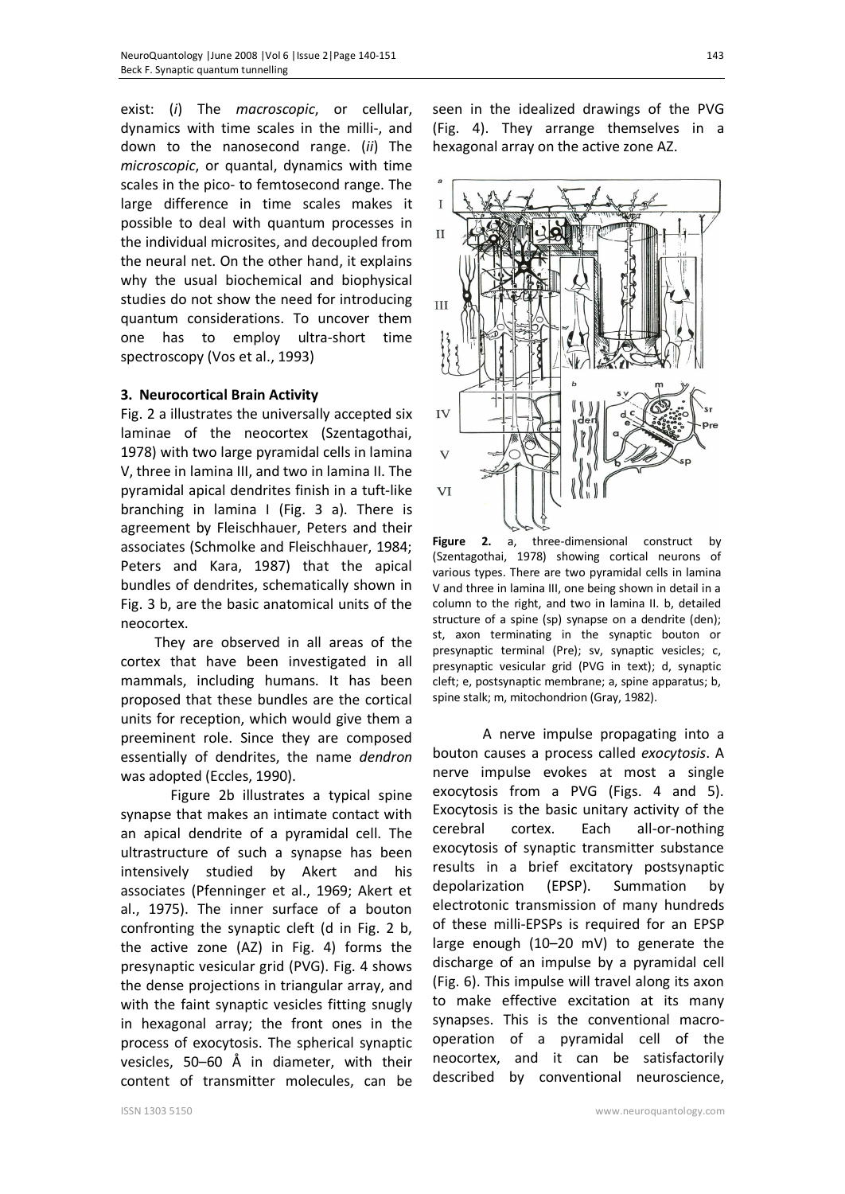exist: (*i*) The *macroscopic*, or cellular, dynamics with time scales in the milli-, and down to the nanosecond range. (*ii*) The *microscopic*, or quantal, dynamics with time scales in the pico- to femtosecond range. The large difference in time scales makes it possible to deal with quantum processes in the individual microsites, and decoupled from the neural net. On the other hand, it explains why the usual biochemical and biophysical studies do not show the need for introducing quantum considerations. To uncover them one has to employ ultra-short time spectroscopy (Vos et al., 1993)

#### **3. Neurocortical Brain Activity**

Fig. 2 a illustrates the universally accepted six laminae of the neocortex (Szentagothai, 1978) with two large pyramidal cells in lamina V, three in lamina III, and two in lamina II. The pyramidal apical dendrites finish in a tuft-like branching in lamina I (Fig. 3 a). There is agreement by Fleischhauer, Peters and their associates (Schmolke and Fleischhauer, 1984; Peters and Kara, 1987) that the apical bundles of dendrites, schematically shown in Fig. 3 b, are the basic anatomical units of the neocortex.

 They are observed in all areas of the cortex that have been investigated in all mammals, including humans. It has been proposed that these bundles are the cortical units for reception, which would give them a preeminent role. Since they are composed essentially of dendrites, the name *dendron* was adopted (Eccles, 1990).

Figure 2b illustrates a typical spine synapse that makes an intimate contact with an apical dendrite of a pyramidal cell. The ultrastructure of such a synapse has been intensively studied by Akert and his associates (Pfenninger et al., 1969; Akert et al., 1975). The inner surface of a bouton confronting the synaptic cleft (d in Fig. 2 b, the active zone (AZ) in Fig. 4) forms the presynaptic vesicular grid (PVG). Fig. 4 shows the dense projections in triangular array, and with the faint synaptic vesicles fitting snugly in hexagonal array; the front ones in the process of exocytosis. The spherical synaptic vesicles, 50–60 Å in diameter, with their content of transmitter molecules, can be

seen in the idealized drawings of the PVG (Fig. 4). They arrange themselves in a hexagonal array on the active zone AZ.



**Figure 2.** a, three-dimensional construct by (Szentagothai, 1978) showing cortical neurons of various types. There are two pyramidal cells in lamina V and three in lamina III, one being shown in detail in a column to the right, and two in lamina II. b, detailed structure of a spine (sp) synapse on a dendrite (den); st, axon terminating in the synaptic bouton or presynaptic terminal (Pre); sv, synaptic vesicles; c, presynaptic vesicular grid (PVG in text); d, synaptic cleft; e, postsynaptic membrane; a, spine apparatus; b, spine stalk; m, mitochondrion (Gray, 1982).

A nerve impulse propagating into a bouton causes a process called *exocytosis*. A nerve impulse evokes at most a single exocytosis from a PVG (Figs. 4 and 5). Exocytosis is the basic unitary activity of the cerebral cortex. Each all-or-nothing exocytosis of synaptic transmitter substance results in a brief excitatory postsynaptic depolarization (EPSP). Summation by electrotonic transmission of many hundreds of these milli-EPSPs is required for an EPSP large enough (10–20 mV) to generate the discharge of an impulse by a pyramidal cell (Fig. 6). This impulse will travel along its axon to make effective excitation at its many synapses. This is the conventional macrooperation of a pyramidal cell of the neocortex, and it can be satisfactorily described by conventional neuroscience,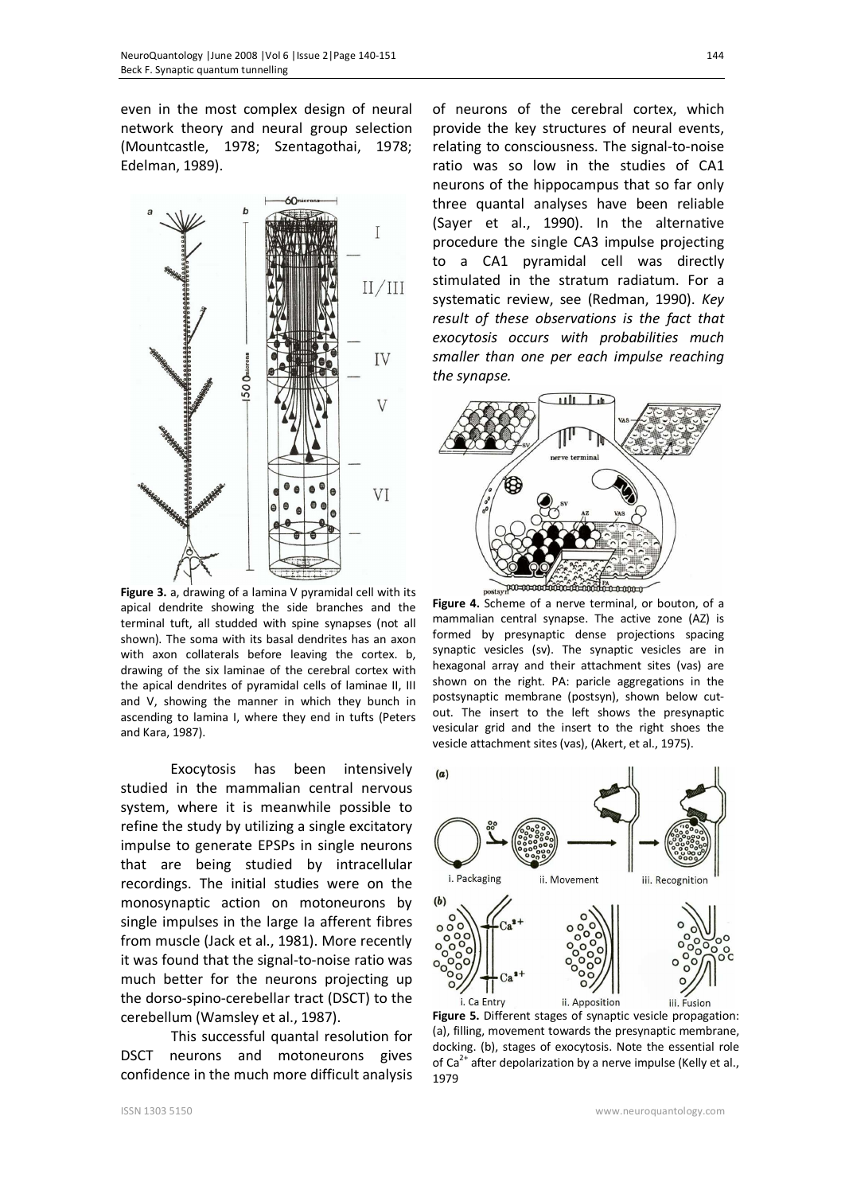even in the most complex design of neural network theory and neural group selection (Mountcastle, 1978; Szentagothai, 1978; Edelman, 1989).



**Figure 3.** a, drawing of a lamina V pyramidal cell with its apical dendrite showing the side branches and the terminal tuft, all studded with spine synapses (not all shown). The soma with its basal dendrites has an axon with axon collaterals before leaving the cortex. b, drawing of the six laminae of the cerebral cortex with the apical dendrites of pyramidal cells of laminae II, III and V, showing the manner in which they bunch in ascending to lamina I, where they end in tufts (Peters and Kara, 1987).

Exocytosis has been intensively studied in the mammalian central nervous system, where it is meanwhile possible to refine the study by utilizing a single excitatory impulse to generate EPSPs in single neurons that are being studied by intracellular recordings. The initial studies were on the monosynaptic action on motoneurons by single impulses in the large Ia afferent fibres from muscle (Jack et al., 1981). More recently it was found that the signal-to-noise ratio was much better for the neurons projecting up the dorso-spino-cerebellar tract (DSCT) to the cerebellum (Wamsley et al., 1987).

This successful quantal resolution for DSCT neurons and motoneurons gives confidence in the much more difficult analysis of neurons of the cerebral cortex, which provide the key structures of neural events, relating to consciousness. The signal-to-noise ratio was so low in the studies of CA1 neurons of the hippocampus that so far only three quantal analyses have been reliable (Sayer et al., 1990). In the alternative procedure the single CA3 impulse projecting to a CA1 pyramidal cell was directly stimulated in the stratum radiatum. For a systematic review, see (Redman, 1990). *Key result of these observations is the fact that exocytosis occurs with probabilities much smaller than one per each impulse reaching the synapse.* 



**Figure 4.** Scheme of a nerve terminal, or bouton, of a mammalian central synapse. The active zone (AZ) is formed by presynaptic dense projections spacing synaptic vesicles (sv). The synaptic vesicles are in hexagonal array and their attachment sites (vas) are shown on the right. PA: paricle aggregations in the postsynaptic membrane (postsyn), shown below cutout. The insert to the left shows the presynaptic vesicular grid and the insert to the right shoes the vesicle attachment sites(vas), (Akert, et al., 1975).



**Figure 5.** Different stages of synaptic vesicle propagation: (a), filling, movement towards the presynaptic membrane, docking. (b), stages of exocytosis. Note the essential role of Ca<sup>2+</sup> after depolarization by a nerve impulse (Kelly et al., 1979

144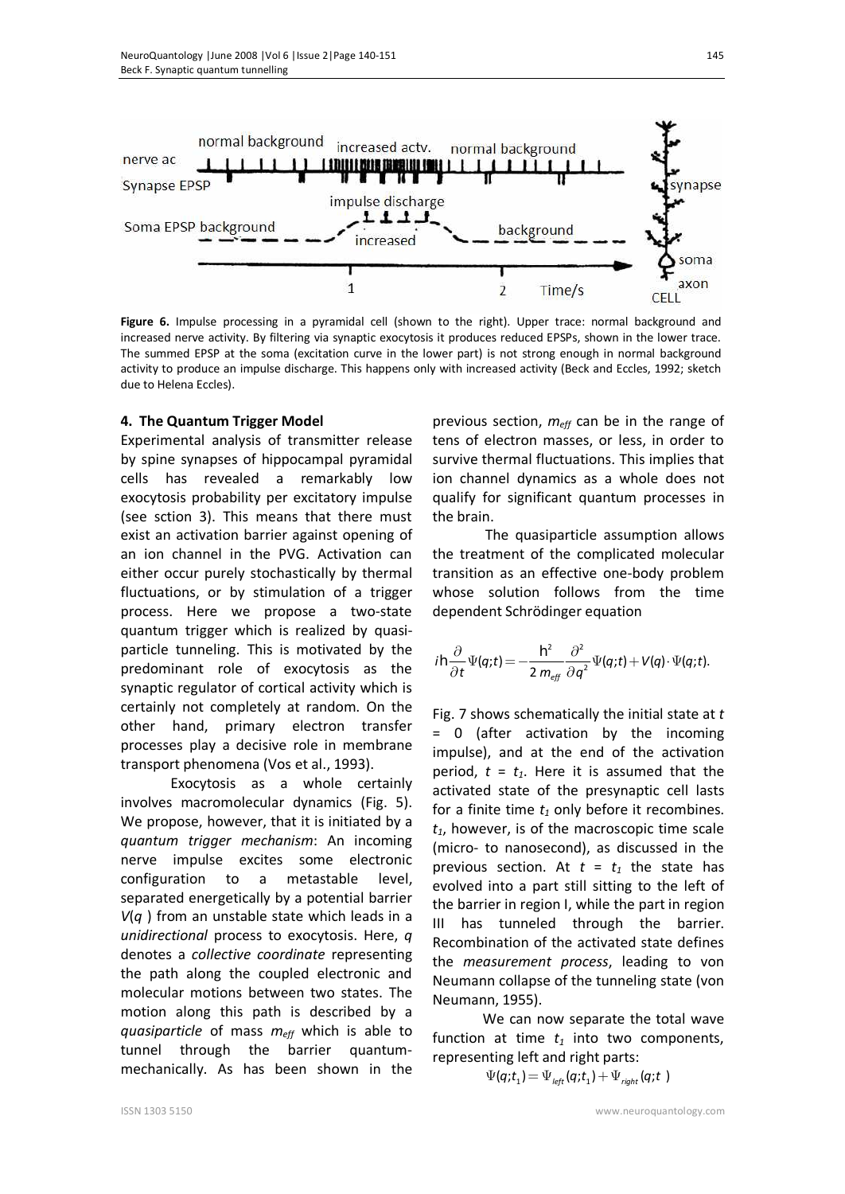

**Figure 6.** Impulse processing in a pyramidal cell (shown to the right). Upper trace: normal background and increased nerve activity. By filtering via synaptic exocytosis it produces reduced EPSPs, shown in the lower trace. The summed EPSP at the soma (excitation curve in the lower part) is not strong enough in normal background activity to produce an impulse discharge. This happens only with increased activity (Beck and Eccles, 1992; sketch due to Helena Eccles).

## **4. The Quantum Trigger Model**

Experimental analysis of transmitter release by spine synapses of hippocampal pyramidal cells has revealed a remarkably low exocytosis probability per excitatory impulse (see sction 3). This means that there must exist an activation barrier against opening of an ion channel in the PVG. Activation can either occur purely stochastically by thermal fluctuations, or by stimulation of a trigger process. Here we propose a two-state quantum trigger which is realized by quasiparticle tunneling. This is motivated by the predominant role of exocytosis as the synaptic regulator of cortical activity which is certainly not completely at random. On the other hand, primary electron transfer processes play a decisive role in membrane transport phenomena (Vos et al., 1993).

Exocytosis as a whole certainly involves macromolecular dynamics (Fig. 5). We propose, however, that it is initiated by a *quantum trigger mechanism*: An incoming nerve impulse excites some electronic configuration to a metastable level, separated energetically by a potential barrier *V*(*q* ) from an unstable state which leads in a *unidirectional* process to exocytosis. Here, *q* denotes a *collective coordinate* representing the path along the coupled electronic and molecular motions between two states. The motion along this path is described by a *quasiparticle* of mass *meff* which is able to tunnel through the barrier quantummechanically. As has been shown in the

previous section, *meff* can be in the range of tens of electron masses, or less, in order to survive thermal fluctuations. This implies that ion channel dynamics as a whole does not qualify for significant quantum processes in the brain.

 The quasiparticle assumption allows the treatment of the complicated molecular transition as an effective one-body problem whose solution follows from the time dependent Schrödinger equation

$$
i\mathbf{h}\frac{\partial}{\partial t}\Psi(q;t)=-\frac{\mathbf{h}^2}{2\,m_{\text{eff}}}\frac{\partial^2}{\partial q^2}\Psi(q;t)+V(q)\cdot\Psi(q;t).
$$

Fig. 7 shows schematically the initial state at *t* = 0 (after activation by the incoming impulse), and at the end of the activation period,  $t = t_1$ . Here it is assumed that the activated state of the presynaptic cell lasts for a finite time  $t_1$  only before it recombines. *t1*, however, is of the macroscopic time scale (micro- to nanosecond), as discussed in the previous section. At  $t = t_1$  the state has evolved into a part still sitting to the left of the barrier in region I, while the part in region III has tunneled through the barrier. Recombination of the activated state defines the *measurement process*, leading to von Neumann collapse of the tunneling state (von Neumann, 1955).

We can now separate the total wave function at time  $t_1$  into two components, representing left and right parts:

$$
\Psi(q;t_1) = \Psi_{\text{left}}(q;t_1) + \Psi_{\text{right}}(q;t_1)
$$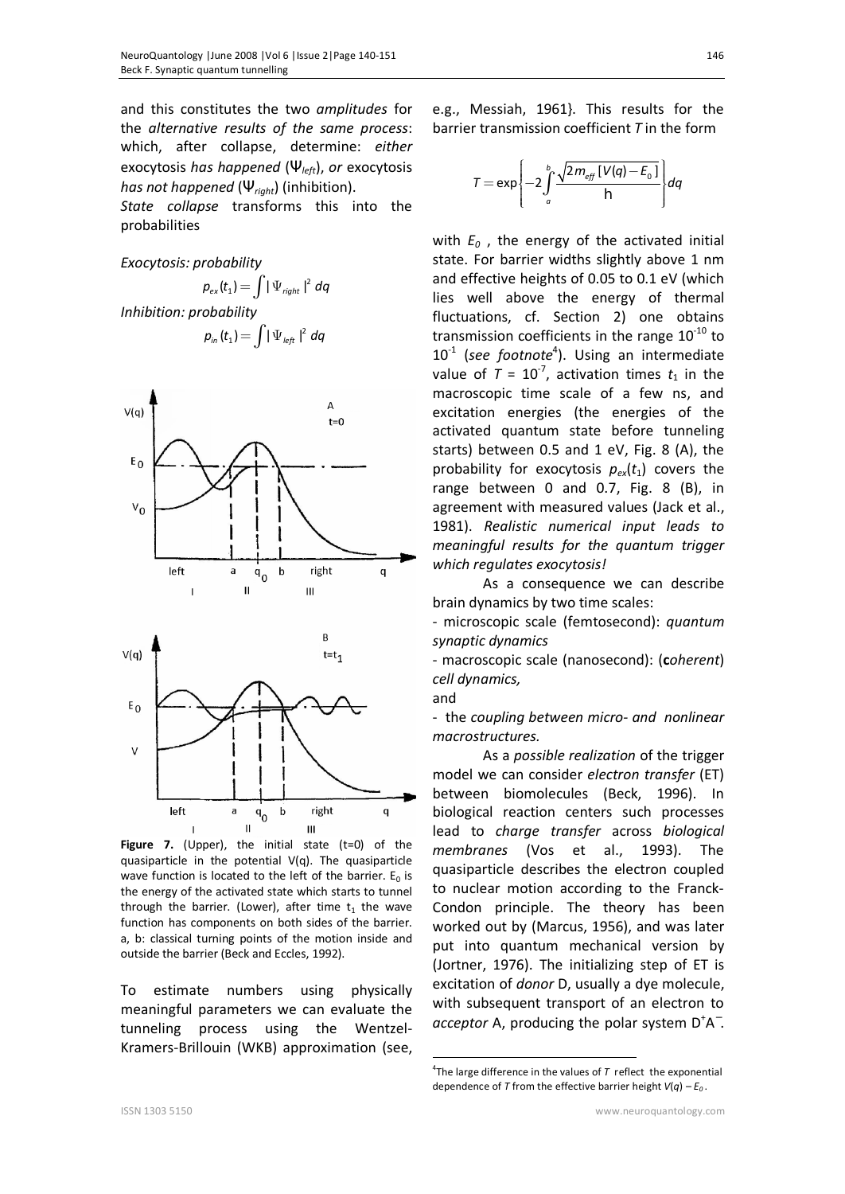and this constitutes the two *amplitudes* for the *alternative results of the same process*: which, after collapse, determine: *either* exocytosis *has happened* (Ψ*left*), *or* exocytosis *has not happened* (Ψ*right*) (inhibition).

*State collapse* transforms this into the probabilities

*Exocytosis: probability* 

 $p_{ex}(t_1) = \int |\Psi_{right}|^2 dq$ *Inhibition: probability* 

$$
p_{\text{in}}(t_1) = \int |\Psi_{\text{left}}|^2 \ dq
$$



**Figure 7.** (Upper), the initial state (t=0) of the quasiparticle in the potential V(q). The quasiparticle wave function is located to the left of the barrier.  $E_0$  is the energy of the activated state which starts to tunnel through the barrier. (Lower), after time  $t_1$  the wave function has components on both sides of the barrier. a, b: classical turning points of the motion inside and outside the barrier (Beck and Eccles, 1992).

To estimate numbers using physically meaningful parameters we can evaluate the tunneling process using the Wentzel-Kramers-Brillouin (WKB) approximation (see, e.g., Messiah, 1961}. This results for the barrier transmission coefficient *T* in the form

$$
T = \exp\left\{-2\int_{a}^{b} \frac{\sqrt{2m_{\text{eff}}\left[V(q)-E_{0}\right]}}{\mathbf{h}}\right\} dq
$$

with *E<sup>0</sup>* , the energy of the activated initial state. For barrier widths slightly above 1 nm and effective heights of 0.05 to 0.1 eV (which lies well above the energy of thermal fluctuations, cf. Section 2) one obtains transmission coefficients in the range  $10^{-10}$  to 10<sup>-1</sup> (see footnote<sup>4</sup>). Using an intermediate value of  $T = 10^{-7}$ , activation times  $t_1$  in the macroscopic time scale of a few ns, and excitation energies (the energies of the activated quantum state before tunneling starts) between 0.5 and 1 eV, Fig. 8 (A), the probability for exocytosis  $p_{ex}(t_1)$  covers the range between 0 and 0.7, Fig. 8 (B), in agreement with measured values (Jack et al., 1981). *Realistic numerical input leads to meaningful results for the quantum trigger which regulates exocytosis!* 

As a consequence we can describe brain dynamics by two time scales:

- microscopic scale (femtosecond): *quantum synaptic dynamics* 

- macroscopic scale (nanosecond): (**c***oherent*) *cell dynamics,* 

and

<u>.</u>

- the *coupling between micro- and nonlinear macrostructures.* 

As a *possible realization* of the trigger model we can consider *electron transfer* (ET) between biomolecules (Beck, 1996). In biological reaction centers such processes lead to *charge transfer* across *biological membranes* (Vos et al., 1993). The quasiparticle describes the electron coupled to nuclear motion according to the Franck-Condon principle. The theory has been worked out by (Marcus, 1956), and was later put into quantum mechanical version by (Jortner, 1976). The initializing step of ET is excitation of *donor* D, usually a dye molecule, with subsequent transport of an electron to  $acceptor$  A, producing the polar system  $D^{\dagger}A^{-}$ .

<sup>4</sup> The large difference in the values of *T* reflect the exponential dependence of *T* from the effective barrier height *V*(*q*) – *E0* .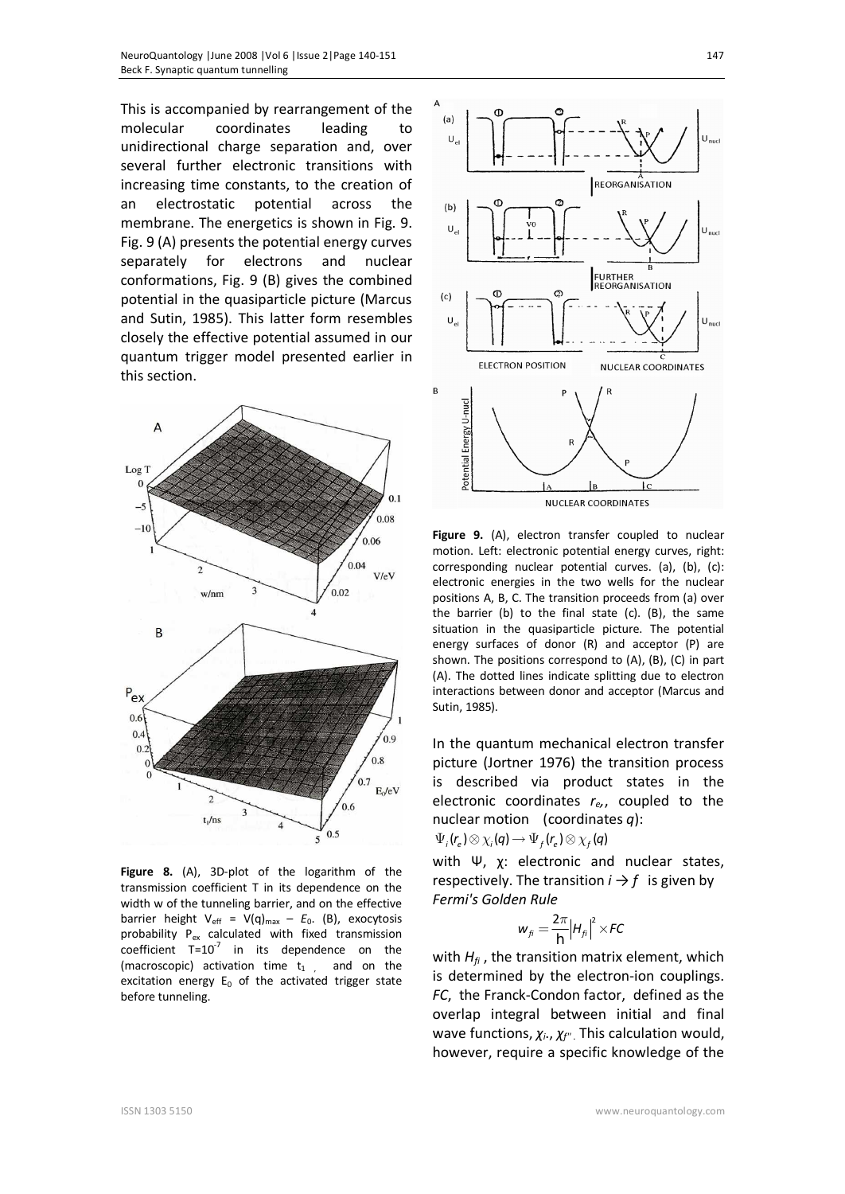This is accompanied by rearrangement of the molecular coordinates leading to unidirectional charge separation and, over several further electronic transitions with increasing time constants, to the creation of an electrostatic potential across the membrane. The energetics is shown in Fig. 9. Fig. 9 (A) presents the potential energy curves separately for electrons and nuclear conformations, Fig. 9 (B) gives the combined potential in the quasiparticle picture (Marcus and Sutin, 1985). This latter form resembles closely the effective potential assumed in our quantum trigger model presented earlier in this section.



**Figure 8.** (A), 3D-plot of the logarithm of the transmission coefficient T in its dependence on the width w of the tunneling barrier, and on the effective barrier height V<sub>eff</sub> = V(q)<sub>max</sub> -  $E_0$ . (B), exocytosis probability  $P_{ex}$  calculated with fixed transmission coefficient  $T=10^{-7}$  in its dependence on the (macroscopic) activation time  $t_1$ , and on the excitation energy  $E_0$  of the activated trigger state before tunneling.



**Figure 9.** (A), electron transfer coupled to nuclear motion. Left: electronic potential energy curves, right: corresponding nuclear potential curves. (a), (b), (c): electronic energies in the two wells for the nuclear positions A, B, C. The transition proceeds from (a) over the barrier (b) to the final state (c). (B), the same situation in the quasiparticle picture. The potential energy surfaces of donor (R) and acceptor (P) are shown. The positions correspond to (A), (B), (C) in part (A). The dotted lines indicate splitting due to electron interactions between donor and acceptor (Marcus and Sutin, 1985).

In the quantum mechanical electron transfer picture (Jortner 1976) the transition process is described via product states in the electronic coordinates *re,*, coupled to the nuclear motion (coordinates *q*):

$$
\Psi_{i}(\mathbf{r}_{e})\otimes\chi_{i}(q)\rightarrow\Psi_{f}(\mathbf{r}_{e})\otimes\chi_{f}(q)
$$

with Ψ, χ: electronic and nuclear states, respectively. The transition  $i \rightarrow f$  is given by *Fermi's Golden Rule* 

$$
w_{fi}=\frac{2\pi}{\mathbf{h}}\left|H_{fi}\right|^{2}\times FC
$$

with  $H_f$ , the transition matrix element, which is determined by the electron-ion couplings. *FC*, the Franck-Condon factor, defined as the overlap integral between initial and final wave functions, *χ<sup>i</sup>* ., *χf''* . This calculation would, however, require a specific knowledge of the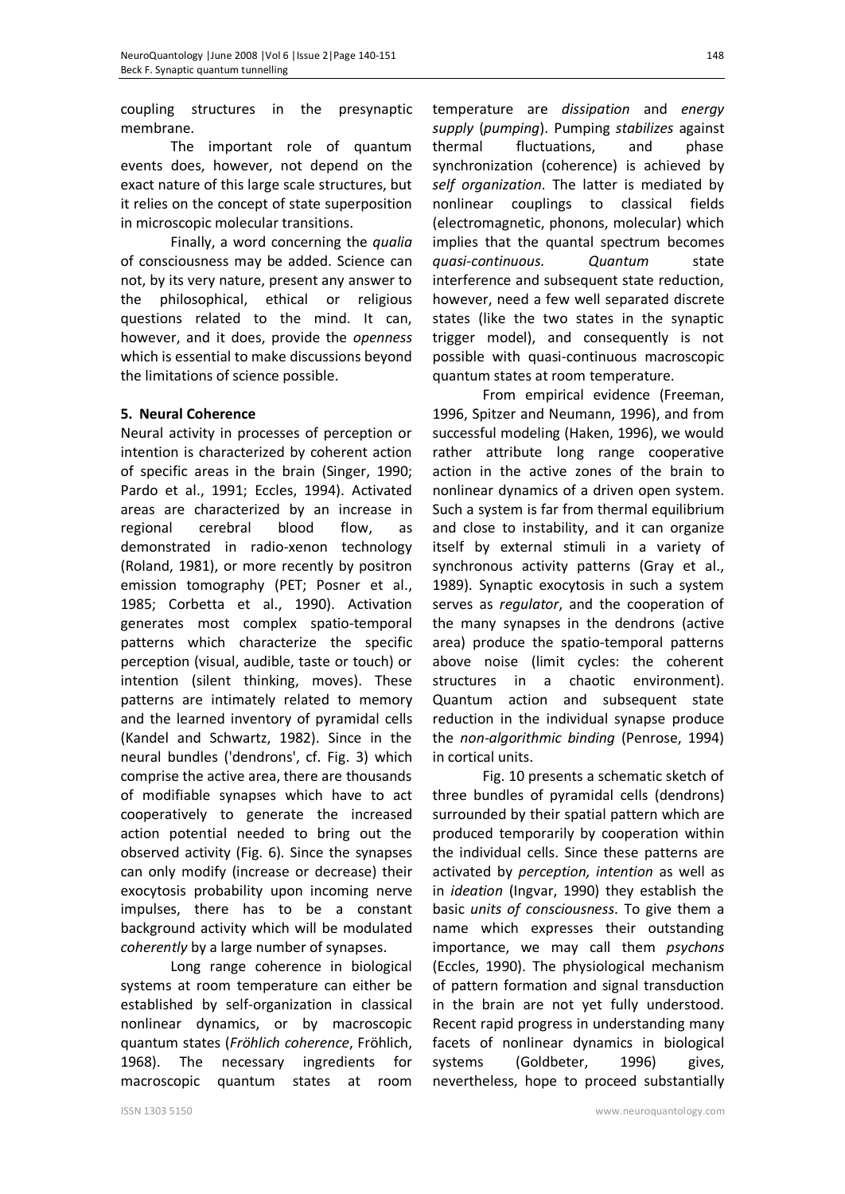coupling structures in the presynaptic membrane.

The important role of quantum events does, however, not depend on the exact nature of this large scale structures, but it relies on the concept of state superposition in microscopic molecular transitions.

Finally, a word concerning the *qualia* of consciousness may be added. Science can not, by its very nature, present any answer to the philosophical, ethical or religious questions related to the mind. It can, however, and it does, provide the *openness* which is essential to make discussions beyond the limitations of science possible.

# **5. Neural Coherence**

Neural activity in processes of perception or intention is characterized by coherent action of specific areas in the brain (Singer, 1990; Pardo et al., 1991; Eccles, 1994). Activated areas are characterized by an increase in regional cerebral blood flow, as demonstrated in radio-xenon technology (Roland, 1981), or more recently by positron emission tomography (PET; Posner et al., 1985; Corbetta et al., 1990). Activation generates most complex spatio-temporal patterns which characterize the specific perception (visual, audible, taste or touch) or intention (silent thinking, moves). These patterns are intimately related to memory and the learned inventory of pyramidal cells (Kandel and Schwartz, 1982). Since in the neural bundles ('dendrons', cf. Fig. 3) which comprise the active area, there are thousands of modifiable synapses which have to act cooperatively to generate the increased action potential needed to bring out the observed activity (Fig. 6). Since the synapses can only modify (increase or decrease) their exocytosis probability upon incoming nerve impulses, there has to be a constant background activity which will be modulated *coherently* by a large number of synapses.

Long range coherence in biological systems at room temperature can either be established by self-organization in classical nonlinear dynamics, or by macroscopic quantum states (*Fröhlich coherence*, Fröhlich, 1968). The necessary ingredients for macroscopic quantum states at room

temperature are *dissipation* and *energy supply* (*pumping*). Pumping *stabilizes* against thermal fluctuations, and phase synchronization (coherence) is achieved by *self organization*. The latter is mediated by nonlinear couplings to classical fields (electromagnetic, phonons, molecular) which implies that the quantal spectrum becomes *quasi-continuous. Quantum* state interference and subsequent state reduction, however, need a few well separated discrete states (like the two states in the synaptic trigger model), and consequently is not possible with quasi-continuous macroscopic quantum states at room temperature.

From empirical evidence (Freeman, 1996, Spitzer and Neumann, 1996), and from successful modeling (Haken, 1996), we would rather attribute long range cooperative action in the active zones of the brain to nonlinear dynamics of a driven open system. Such a system is far from thermal equilibrium and close to instability, and it can organize itself by external stimuli in a variety of synchronous activity patterns (Gray et al., 1989). Synaptic exocytosis in such a system serves as *regulator*, and the cooperation of the many synapses in the dendrons (active area) produce the spatio-temporal patterns above noise (limit cycles: the coherent structures in a chaotic environment). Quantum action and subsequent state reduction in the individual synapse produce the *non-algorithmic binding* (Penrose, 1994) in cortical units.

Fig. 10 presents a schematic sketch of three bundles of pyramidal cells (dendrons) surrounded by their spatial pattern which are produced temporarily by cooperation within the individual cells. Since these patterns are activated by *perception, intention* as well as in *ideation* (Ingvar, 1990) they establish the basic *units of consciousness*. To give them a name which expresses their outstanding importance, we may call them *psychons*  (Eccles, 1990). The physiological mechanism of pattern formation and signal transduction in the brain are not yet fully understood. Recent rapid progress in understanding many facets of nonlinear dynamics in biological systems (Goldbeter, 1996) gives, nevertheless, hope to proceed substantially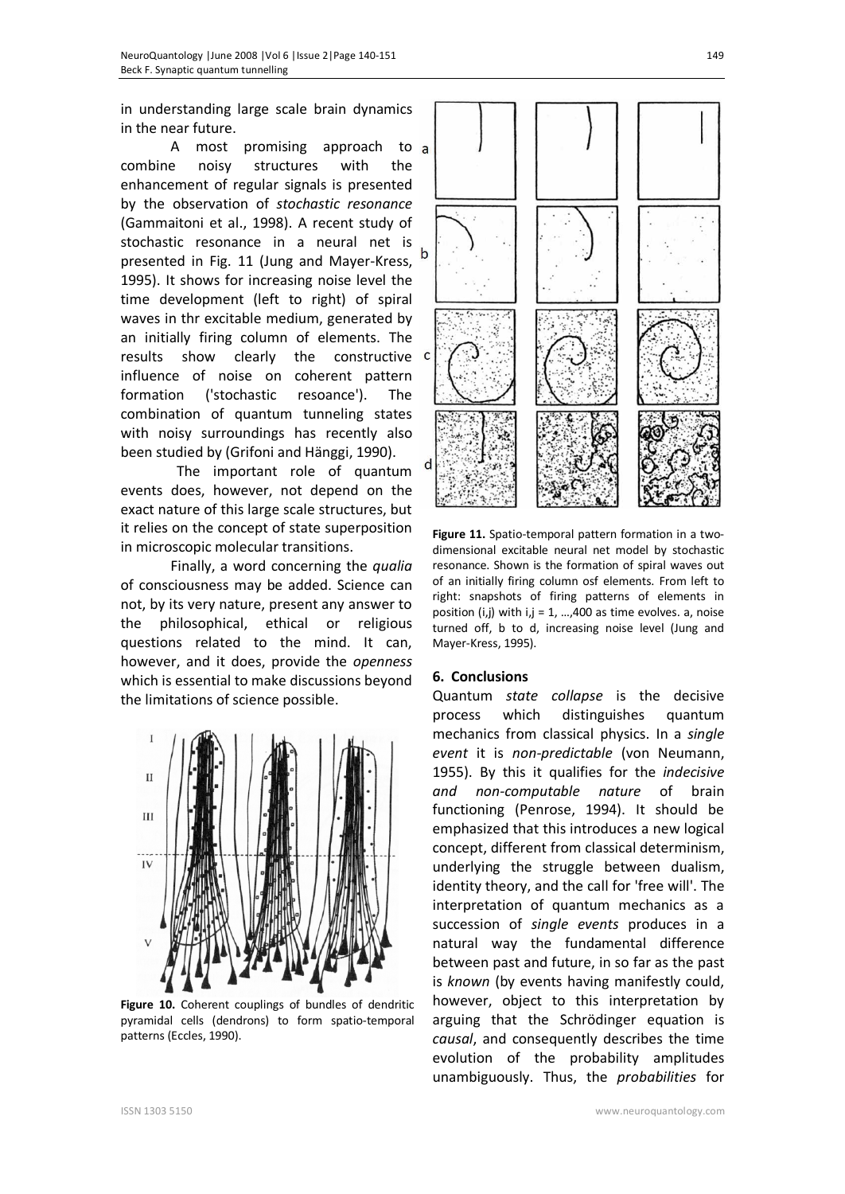in understanding large scale brain dynamics in the near future.

A most promising approach to a combine noisy structures with the enhancement of regular signals is presented by the observation of *stochastic resonance*  (Gammaitoni et al., 1998). A recent study of stochastic resonance in a neural net is presented in Fig. 11 (Jung and Mayer-Kress, 1995). It shows for increasing noise level the time development (left to right) of spiral waves in thr excitable medium, generated by an initially firing column of elements. The results show clearly the constructive c influence of noise on coherent pattern formation ('stochastic resoance'). The combination of quantum tunneling states with noisy surroundings has recently also been studied by (Grifoni and Hänggi, 1990).

 The important role of quantum events does, however, not depend on the exact nature of this large scale structures, but it relies on the concept of state superposition in microscopic molecular transitions.

Finally, a word concerning the *qualia* of consciousness may be added. Science can not, by its very nature, present any answer to the philosophical, ethical or religious questions related to the mind. It can, however, and it does, provide the *openness* which is essential to make discussions beyond the limitations of science possible.



**Figure 10.** Coherent couplings of bundles of dendritic pyramidal cells (dendrons) to form spatio-temporal patterns (Eccles, 1990).



**Figure 11.** Spatio-temporal pattern formation in a twodimensional excitable neural net model by stochastic resonance. Shown is the formation of spiral waves out of an initially firing column osf elements. From left to right: snapshots of firing patterns of elements in position  $(i,j)$  with  $i,j = 1, ..., 400$  as time evolves. a, noise turned off, b to d, increasing noise level (Jung and Mayer-Kress, 1995).

#### **6. Conclusions**

Quantum *state collapse* is the decisive process which distinguishes quantum mechanics from classical physics. In a *single event* it is *non-predictable* (von Neumann, 1955). By this it qualifies for the *indecisive and non-computable nature* of brain functioning (Penrose, 1994). It should be emphasized that this introduces a new logical concept, different from classical determinism, underlying the struggle between dualism, identity theory, and the call for 'free will'. The interpretation of quantum mechanics as a succession of *single events* produces in a natural way the fundamental difference between past and future, in so far as the past is *known* (by events having manifestly could, however, object to this interpretation by arguing that the Schrödinger equation is *causal*, and consequently describes the time evolution of the probability amplitudes unambiguously. Thus, the *probabilities* for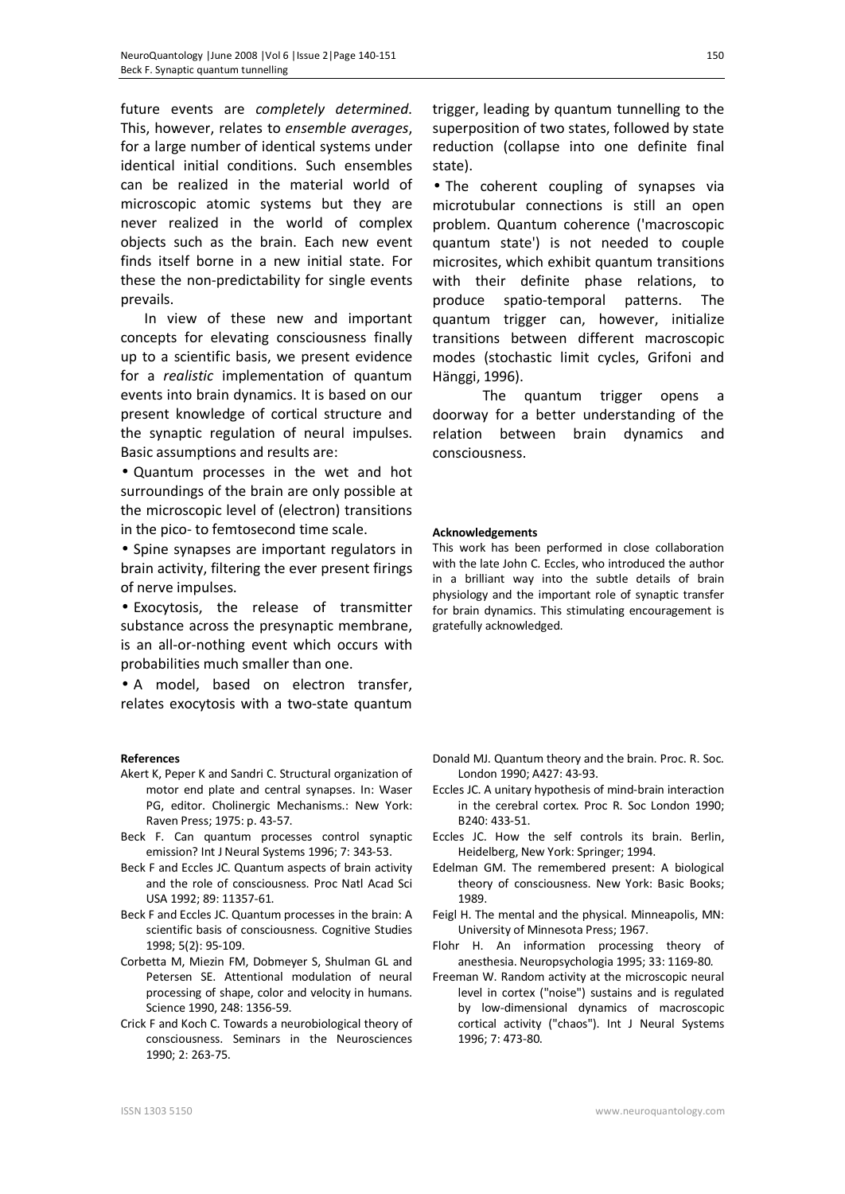future events are *completely determined*. This, however, relates to *ensemble averages*, for a large number of identical systems under identical initial conditions. Such ensembles can be realized in the material world of microscopic atomic systems but they are never realized in the world of complex objects such as the brain. Each new event finds itself borne in a new initial state. For these the non-predictability for single events prevails.

 In view of these new and important concepts for elevating consciousness finally up to a scientific basis, we present evidence for a *realistic* implementation of quantum events into brain dynamics. It is based on our present knowledge of cortical structure and the synaptic regulation of neural impulses. Basic assumptions and results are:

• Quantum processes in the wet and hot surroundings of the brain are only possible at the microscopic level of (electron) transitions in the pico- to femtosecond time scale.

• Spine synapses are important regulators in brain activity, filtering the ever present firings of nerve impulses.

• Exocytosis, the release of transmitter substance across the presynaptic membrane, is an all-or-nothing event which occurs with probabilities much smaller than one.

• A model, based on electron transfer, relates exocytosis with a two-state quantum

#### **References**

- Akert K, Peper K and Sandri C. Structural organization of motor end plate and central synapses. In: Waser PG, editor. Cholinergic Mechanisms.: New York: Raven Press; 1975: p. 43-57.
- Beck F. Can quantum processes control synaptic emission? Int J Neural Systems 1996; 7: 343-53.
- Beck F and Eccles JC. Quantum aspects of brain activity and the role of consciousness. Proc Natl Acad Sci USA 1992; 89: 11357-61.
- Beck F and Eccles JC. Quantum processes in the brain: A scientific basis of consciousness. Cognitive Studies 1998; 5(2): 95-109.
- Corbetta M, Miezin FM, Dobmeyer S, Shulman GL and Petersen SE. Attentional modulation of neural processing of shape, color and velocity in humans. Science 1990, 248: 1356-59.
- Crick F and Koch C. Towards a neurobiological theory of consciousness. Seminars in the Neurosciences 1990; 2: 263-75.

trigger, leading by quantum tunnelling to the superposition of two states, followed by state reduction (collapse into one definite final state).

• The coherent coupling of synapses via microtubular connections is still an open problem. Quantum coherence ('macroscopic quantum state') is not needed to couple microsites, which exhibit quantum transitions with their definite phase relations, to produce spatio-temporal patterns. The quantum trigger can, however, initialize transitions between different macroscopic modes (stochastic limit cycles, Grifoni and Hänggi, 1996).

The quantum trigger opens doorway for a better understanding of the relation between brain dynamics and consciousness.

#### **Acknowledgements**

This work has been performed in close collaboration with the late John C. Eccles, who introduced the author in a brilliant way into the subtle details of brain physiology and the important role of synaptic transfer for brain dynamics. This stimulating encouragement is gratefully acknowledged.

- Donald MJ. Quantum theory and the brain. Proc. R. Soc. London 1990; A427: 43-93.
- Eccles JC. A unitary hypothesis of mind-brain interaction in the cerebral cortex. Proc R. Soc London 1990; B240: 433-51.
- Eccles JC. How the self controls its brain. Berlin, Heidelberg, New York: Springer; 1994.
- Edelman GM. The remembered present: A biological theory of consciousness. New York: Basic Books; 1989.
- Feigl H. The mental and the physical. Minneapolis, MN: University of Minnesota Press; 1967.
- Flohr H. An information processing theory of anesthesia. Neuropsychologia 1995; 33: 1169-80.
- Freeman W. Random activity at the microscopic neural level in cortex ("noise") sustains and is regulated by low-dimensional dynamics of macroscopic cortical activity ("chaos"). Int J Neural Systems 1996; 7: 473-80.